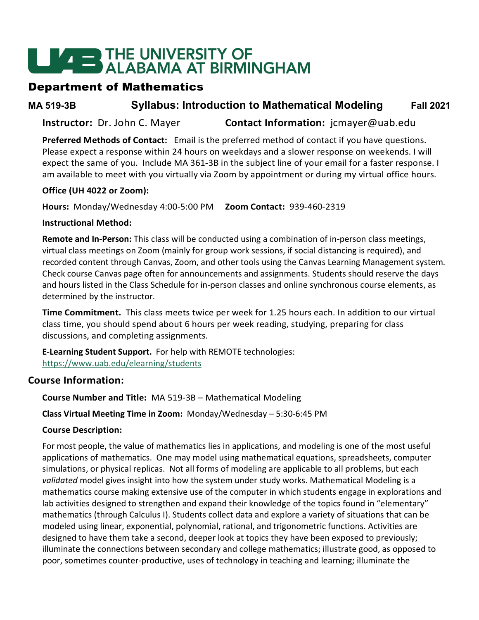# **LEADER THE UNIVERSITY OF<br>ALABAMA AT BIRMINGHAM**

# Department of Mathematics

**MA 519-3B Syllabus: Introduction to Mathematical Modeling Fall 2021**

**Instructor:** Dr. John C. Mayer **Contact Information:** jcmayer@uab.edu

**Preferred Methods of Contact:** Email is the preferred method of contact if you have questions. Please expect a response within 24 hours on weekdays and a slower response on weekends. I will expect the same of you. Include MA 361-3B in the subject line of your email for a faster response. I am available to meet with you virtually via Zoom by appointment or during my virtual office hours.

#### **Office (UH 4022 or Zoom):**

**Hours:** Monday/Wednesday 4:00-5:00 PM **Zoom Contact:** 939-460-2319

#### **Instructional Method:**

**Remote and In-Person:** This class will be conducted using a combination of in-person class meetings, virtual class meetings on Zoom (mainly for group work sessions, if social distancing is required), and recorded content through Canvas, Zoom, and other tools using the Canvas Learning Management system. Check course Canvas page often for announcements and assignments. Students should reserve the days and hours listed in the Class Schedule for in-person classes and online synchronous course elements, as determined by the instructor.

**Time Commitment.** This class meets twice per week for 1.25 hours each. In addition to our virtual class time, you should spend about 6 hours per week reading, studying, preparing for class discussions, and completing assignments.

**E-Learning Student Support.** For help with REMOTE technologies: <https://www.uab.edu/elearning/students>

#### **Course Information:**

**Course Number and Title:** MA 519-3B – Mathematical Modeling

#### **Class Virtual Meeting Time in Zoom:** Monday/Wednesday – 5:30-6:45 PM

#### **Course Description:**

For most people, the value of mathematics lies in applications, and modeling is one of the most useful applications of mathematics. One may model using mathematical equations, spreadsheets, computer simulations, or physical replicas. Not all forms of modeling are applicable to all problems, but each *validated* model gives insight into how the system under study works. Mathematical Modeling is a mathematics course making extensive use of the computer in which students engage in explorations and lab activities designed to strengthen and expand their knowledge of the topics found in "elementary" mathematics (through Calculus I). Students collect data and explore a variety of situations that can be modeled using linear, exponential, polynomial, rational, and trigonometric functions. Activities are designed to have them take a second, deeper look at topics they have been exposed to previously; illuminate the connections between secondary and college mathematics; illustrate good, as opposed to poor, sometimes counter-productive, uses of technology in teaching and learning; illuminate the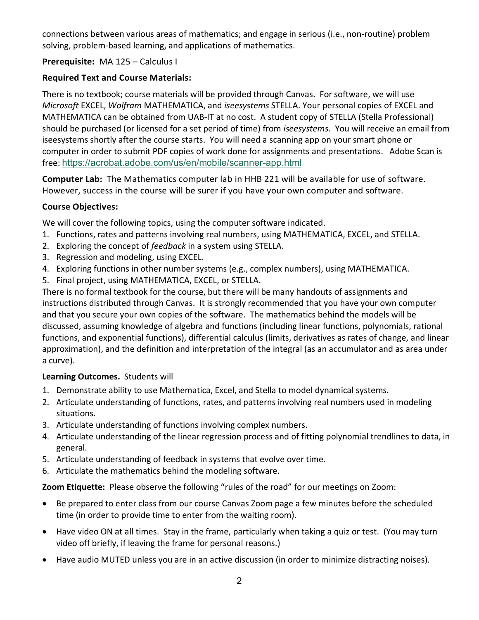connections between various areas of mathematics; and engage in serious (i.e., non-routine) problem solving, problem-based learning, and applications of mathematics.

#### **Prerequisite:** MA 125 – Calculus I

#### **Required Text and Course Materials:**

There is no textbook; course materials will be provided through Canvas. For software, we will use *Microsoft* EXCEL, *Wolfram* MATHEMATICA, and *iseesystems* STELLA. Your personal copies of EXCEL and MATHEMATICA can be obtained from UAB-IT at no cost. A student copy of STELLA (Stella Professional) should be purchased (or licensed for a set period of time) from *iseesystems*. You will receive an email from iseesystems shortly after the course starts. You will need a scanning app on your smart phone or computer in order to submit PDF copies of work done for assignments and presentations. Adobe Scan is free: <https://acrobat.adobe.com/us/en/mobile/scanner-app.html>

**Computer Lab:** The Mathematics computer lab in HHB 221 will be available for use of software. However, success in the course will be surer if you have your own computer and software.

#### **Course Objectives:**

We will cover the following topics, using the computer software indicated.

- 1. Functions, rates and patterns involving real numbers, using MATHEMATICA, EXCEL, and STELLA.
- 2. Exploring the concept of *feedback* in a system using STELLA.
- 3. Regression and modeling, using EXCEL.
- 4. Exploring functions in other number systems (e.g., complex numbers), using MATHEMATICA.
- 5. Final project, using MATHEMATICA, EXCEL, or STELLA.

There is no formal textbook for the course, but there will be many handouts of assignments and instructions distributed through Canvas. It is strongly recommended that you have your own computer and that you secure your own copies of the software. The mathematics behind the models will be discussed, assuming knowledge of algebra and functions (including linear functions, polynomials, rational functions, and exponential functions), differential calculus (limits, derivatives as rates of change, and linear approximation), and the definition and interpretation of the integral (as an accumulator and as area under a curve).

#### **Learning Outcomes.** Students will

- 1. Demonstrate ability to use Mathematica, Excel, and Stella to model dynamical systems.
- 2. Articulate understanding of functions, rates, and patterns involving real numbers used in modeling situations.
- 3. Articulate understanding of functions involving complex numbers.
- 4. Articulate understanding of the linear regression process and of fitting polynomial trendlines to data, in general.
- 5. Articulate understanding of feedback in systems that evolve over time.
- 6. Articulate the mathematics behind the modeling software.

**Zoom Etiquette:** Please observe the following "rules of the road" for our meetings on Zoom:

- Be prepared to enter class from our course Canvas Zoom page a few minutes before the scheduled time (in order to provide time to enter from the waiting room).
- Have video ON at all times. Stay in the frame, particularly when taking a quiz or test. (You may turn video off briefly, if leaving the frame for personal reasons.)
- Have audio MUTED unless you are in an active discussion (in order to minimize distracting noises).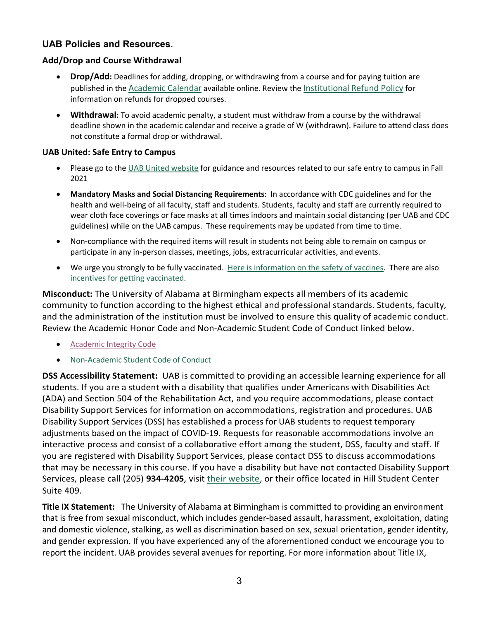#### **UAB Policies and Resources**.

#### **Add/Drop and Course Withdrawal**

- **Drop/Add:** Deadlines for adding, dropping, or withdrawing from a course and for paying tuition are published in the [Academic Calendar](https://www.uab.edu/students/academics/academic-calendar) available online. Review the [Institutional Refund Policy](https://www.uab.edu/students/one-stop/policies/institutional-refund-policy) for information on refunds for dropped courses.
- **Withdrawal:** To avoid academic penalty, a student must withdraw from a course by the withdrawal deadline shown in the academic calendar and receive a grade of W (withdrawn). Failure to attend class does not constitute a formal drop or withdrawal.

#### **UAB United: Safe Entry to Campus**

- Please go to the [UAB United website](https://www.uab.edu/uabunited/students) for guidance and resources related to our safe entry to campus in Fall 2021
- **Mandatory Masks and Social Distancing Requirements**: In accordance with CDC guidelines and for the health and well-being of all faculty, staff and students. Students, faculty and staff are currently required to wear cloth face coverings or face masks at all times indoors and maintain social distancing (per UAB and CDC guidelines) while on the UAB campus. These requirements may be updated from time to time.
- Non-compliance with the required items will result in students not being able to remain on campus or participate in any in-person classes, meetings, jobs, extracurricular activities, and events.
- We urge you strongly to be fully vaccinated. [Here is information on the safety of vaccines.](https://www.uab.edu/uabunited/covid-19-vaccine) There are also [incentives for getting vaccinated.](https://www.uab.edu/students/health/)

**Misconduct:** The University of Alabama at Birmingham expects all members of its academic community to function according to the highest ethical and professional standards. Students, faculty, and the administration of the institution must be involved to ensure this quality of academic conduct. Review the Academic Honor Code and Non-Academic Student Code of Conduct linked below.

- [Academic Integrity Code](https://www.uab.edu/one-stop/policies/academic-integrity-code)
- [Non-Academic Student Code of Conduct](http://www.uab.edu/studentconduct)

**DSS Accessibility Statement:** UAB is committed to providing an accessible learning experience for all students. If you are a student with a disability that qualifies under Americans with Disabilities Act (ADA) and Section 504 of the Rehabilitation Act, and you require accommodations, please contact Disability Support Services for information on accommodations, registration and procedures. UAB Disability Support Services (DSS) has established a process for UAB students to request temporary adjustments based on the impact of COVID-19. Requests for reasonable accommodations involve an interactive process and consist of a collaborative effort among the student, DSS, faculty and staff. If you are registered with Disability Support Services, please contact DSS to discuss accommodations that may be necessary in this course. If you have a disability but have not contacted Disability Support Services, please call (205) **934-4205**, visit [their website,](http://www.uab.edu/dss) or their office located in Hill Student Center Suite 409.

**Title IX Statement:** The University of Alabama at Birmingham is committed to providing an environment that is free from sexual misconduct, which includes gender-based assault, harassment, exploitation, dating and domestic violence, stalking, as well as discrimination based on sex, sexual orientation, gender identity, and gender expression. If you have experienced any of the aforementioned conduct we encourage you to report the incident. UAB provides several avenues for reporting. For more information about Title IX,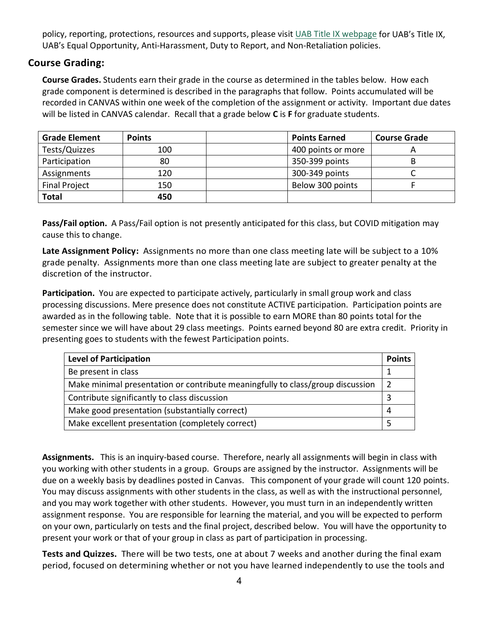policy, reporting, protections, resources and supports, please visit [UAB Title IX webpage](http://www.uab.edu/titleix) for UAB's Title IX, UAB's Equal Opportunity, Anti-Harassment, Duty to Report, and Non-Retaliation policies.

## **Course Grading:**

**Course Grades.** Students earn their grade in the course as determined in the tables below. How each grade component is determined is described in the paragraphs that follow. Points accumulated will be recorded in CANVAS within one week of the completion of the assignment or activity. Important due dates will be listed in CANVAS calendar. Recall that a grade below **C** is **F** for graduate students.

| <b>Grade Element</b> | <b>Points</b> | <b>Points Earned</b> | <b>Course Grade</b> |
|----------------------|---------------|----------------------|---------------------|
| Tests/Quizzes        | 100           | 400 points or more   |                     |
| Participation        | 80            | 350-399 points       |                     |
| Assignments          | 120           | 300-349 points       |                     |
| <b>Final Project</b> | 150           | Below 300 points     |                     |
| <b>Total</b>         | 450           |                      |                     |

**Pass/Fail option.** A Pass/Fail option is not presently anticipated for this class, but COVID mitigation may cause this to change.

**Late Assignment Policy:** Assignments no more than one class meeting late will be subject to a 10% grade penalty. Assignments more than one class meeting late are subject to greater penalty at the discretion of the instructor.

**Participation.** You are expected to participate actively, particularly in small group work and class processing discussions. Mere presence does not constitute ACTIVE participation. Participation points are awarded as in the following table. Note that it is possible to earn MORE than 80 points total for the semester since we will have about 29 class meetings. Points earned beyond 80 are extra credit. Priority in presenting goes to students with the fewest Participation points.

| <b>Level of Participation</b>                                                  | <b>Points</b> |  |
|--------------------------------------------------------------------------------|---------------|--|
| Be present in class                                                            |               |  |
| Make minimal presentation or contribute meaningfully to class/group discussion |               |  |
| Contribute significantly to class discussion                                   |               |  |
| Make good presentation (substantially correct)                                 |               |  |
| Make excellent presentation (completely correct)                               |               |  |

**Assignments.** This is an inquiry-based course. Therefore, nearly all assignments will begin in class with you working with other students in a group. Groups are assigned by the instructor. Assignments will be due on a weekly basis by deadlines posted in Canvas. This component of your grade will count 120 points. You may discuss assignments with other students in the class, as well as with the instructional personnel, and you may work together with other students. However, you must turn in an independently written assignment response. You are responsible for learning the material, and you will be expected to perform on your own, particularly on tests and the final project, described below. You will have the opportunity to present your work or that of your group in class as part of participation in processing.

**Tests and Quizzes.** There will be two tests, one at about 7 weeks and another during the final exam period, focused on determining whether or not you have learned independently to use the tools and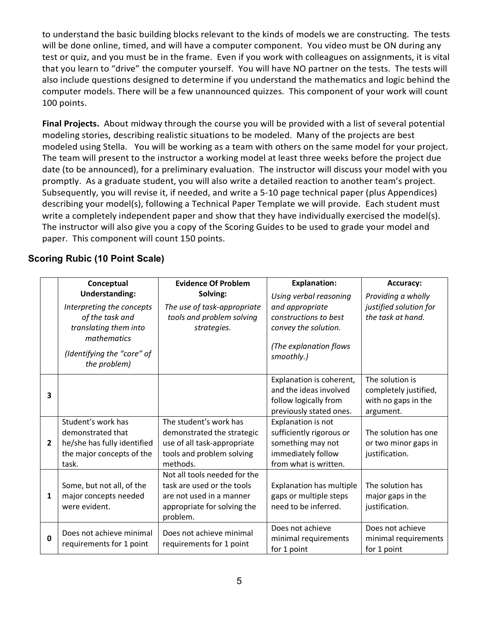to understand the basic building blocks relevant to the kinds of models we are constructing. The tests will be done online, timed, and will have a computer component. You video must be ON during any test or quiz, and you must be in the frame. Even if you work with colleagues on assignments, it is vital that you learn to "drive" the computer yourself. You will have NO partner on the tests. The tests will also include questions designed to determine if you understand the mathematics and logic behind the computer models. There will be a few unannounced quizzes. This component of your work will count 100 points.

**Final Projects.** About midway through the course you will be provided with a list of several potential modeling stories, describing realistic situations to be modeled. Many of the projects are best modeled using Stella. You will be working as a team with others on the same model for your project. The team will present to the instructor a working model at least three weeks before the project due date (to be announced), for a preliminary evaluation. The instructor will discuss your model with you promptly. As a graduate student, you will also write a detailed reaction to another team's project. Subsequently, you will revise it, if needed, and write a 5-10 page technical paper (plus Appendices) describing your model(s), following a Technical Paper Template we will provide. Each student must write a completely independent paper and show that they have individually exercised the model(s). The instructor will also give you a copy of the Scoring Guides to be used to grade your model and paper. This component will count 150 points.

## **Scoring Rubic (10 Point Scale)**

|                | Conceptual                                                                                                                                                  | <b>Evidence Of Problem</b>                                                                                                        | <b>Explanation:</b>                                                                                                                | <b>Accuracy:</b>                                                             |
|----------------|-------------------------------------------------------------------------------------------------------------------------------------------------------------|-----------------------------------------------------------------------------------------------------------------------------------|------------------------------------------------------------------------------------------------------------------------------------|------------------------------------------------------------------------------|
|                | <b>Understanding:</b><br>Interpreting the concepts<br>of the task and<br>translating them into<br>mathematics<br>(Identifying the "core" of<br>the problem) | Solving:<br>The use of task-appropriate<br>tools and problem solving<br>strategies.                                               | Using verbal reasoning<br>and appropriate<br>constructions to best<br>convey the solution.<br>(The explanation flows<br>smoothly.) | Providing a wholly<br>justified solution for<br>the task at hand.            |
| 3              |                                                                                                                                                             |                                                                                                                                   | Explanation is coherent,<br>and the ideas involved<br>follow logically from<br>previously stated ones.                             | The solution is<br>completely justified,<br>with no gaps in the<br>argument. |
| $\overline{2}$ | Student's work has<br>demonstrated that<br>he/she has fully identified<br>the major concepts of the<br>task.                                                | The student's work has<br>demonstrated the strategic<br>use of all task-appropriate<br>tools and problem solving<br>methods.      | Explanation is not<br>sufficiently rigorous or<br>something may not<br>immediately follow<br>from what is written.                 | The solution has one<br>or two minor gaps in<br>justification.               |
| $\mathbf{1}$   | Some, but not all, of the<br>major concepts needed<br>were evident.                                                                                         | Not all tools needed for the<br>task are used or the tools<br>are not used in a manner<br>appropriate for solving the<br>problem. | <b>Explanation has multiple</b><br>gaps or multiple steps<br>need to be inferred.                                                  | The solution has<br>major gaps in the<br>justification.                      |
| 0              | Does not achieve minimal<br>requirements for 1 point                                                                                                        | Does not achieve minimal<br>requirements for 1 point                                                                              | Does not achieve<br>minimal requirements<br>for 1 point                                                                            | Does not achieve<br>minimal requirements<br>for 1 point                      |